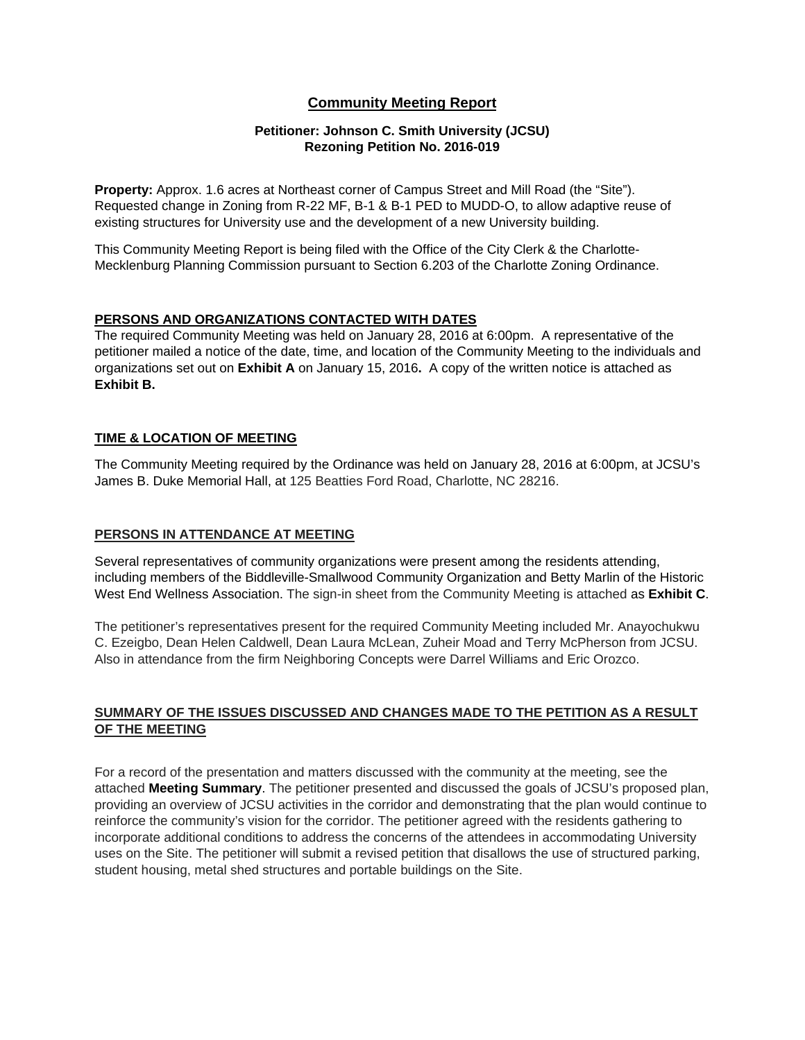#### **Community Meeting Report**

#### **Petitioner: Johnson C. Smith University (JCSU) Rezoning Petition No. 2016-019**

**Property:** Approx. 1.6 acres at Northeast corner of Campus Street and Mill Road (the "Site"). Requested change in Zoning from R-22 MF, B-1 & B-1 PED to MUDD-O, to allow adaptive reuse of existing structures for University use and the development of a new University building.

This Community Meeting Report is being filed with the Office of the City Clerk & the Charlotte-Mecklenburg Planning Commission pursuant to Section 6.203 of the Charlotte Zoning Ordinance.

#### **PERSONS AND ORGANIZATIONS CONTACTED WITH DATES**

The required Community Meeting was held on January 28, 2016 at 6:00pm. A representative of the petitioner mailed a notice of the date, time, and location of the Community Meeting to the individuals and organizations set out on **Exhibit A** on January 15, 2016**.** A copy of the written notice is attached as **Exhibit B.** 

#### **TIME & LOCATION OF MEETING**

The Community Meeting required by the Ordinance was held on January 28, 2016 at 6:00pm, at JCSU's James B. Duke Memorial Hall, at 125 Beatties Ford Road, Charlotte, NC 28216.

#### **PERSONS IN ATTENDANCE AT MEETING**

Several representatives of community organizations were present among the residents attending, including members of the Biddleville-Smallwood Community Organization and Betty Marlin of the Historic West End Wellness Association. The sign-in sheet from the Community Meeting is attached as **Exhibit C**.

The petitioner's representatives present for the required Community Meeting included Mr. Anayochukwu C. Ezeigbo, Dean Helen Caldwell, Dean Laura McLean, Zuheir Moad and Terry McPherson from JCSU. Also in attendance from the firm Neighboring Concepts were Darrel Williams and Eric Orozco.

#### **SUMMARY OF THE ISSUES DISCUSSED AND CHANGES MADE TO THE PETITION AS A RESULT OF THE MEETING**

For a record of the presentation and matters discussed with the community at the meeting, see the attached **Meeting Summary**. The petitioner presented and discussed the goals of JCSU's proposed plan, providing an overview of JCSU activities in the corridor and demonstrating that the plan would continue to reinforce the community's vision for the corridor. The petitioner agreed with the residents gathering to incorporate additional conditions to address the concerns of the attendees in accommodating University uses on the Site. The petitioner will submit a revised petition that disallows the use of structured parking, student housing, metal shed structures and portable buildings on the Site.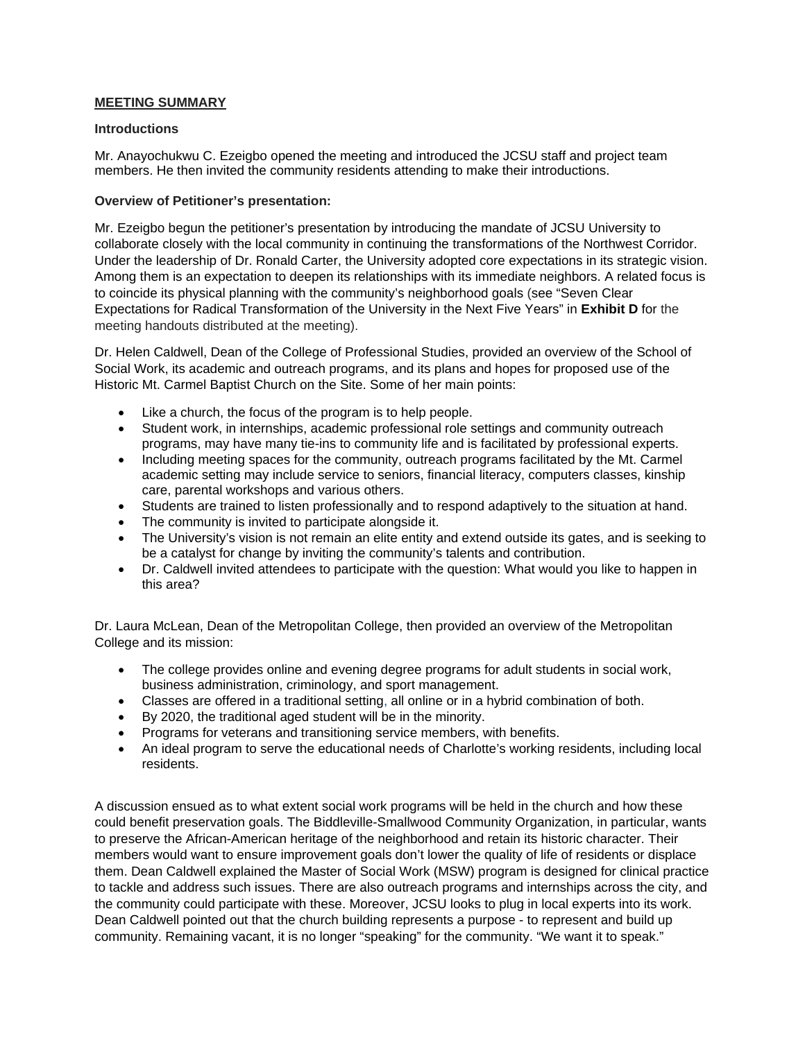#### **MEETING SUMMARY**

#### **Introductions**

Mr. Anayochukwu C. Ezeigbo opened the meeting and introduced the JCSU staff and project team members. He then invited the community residents attending to make their introductions.

#### **Overview of Petitioner's presentation:**

Mr. Ezeigbo begun the petitioner's presentation by introducing the mandate of JCSU University to collaborate closely with the local community in continuing the transformations of the Northwest Corridor. Under the leadership of Dr. Ronald Carter, the University adopted core expectations in its strategic vision. Among them is an expectation to deepen its relationships with its immediate neighbors. A related focus is to coincide its physical planning with the community's neighborhood goals (see "Seven Clear Expectations for Radical Transformation of the University in the Next Five Years" in **Exhibit D** for the meeting handouts distributed at the meeting).

Dr. Helen Caldwell, Dean of the College of Professional Studies, provided an overview of the School of Social Work, its academic and outreach programs, and its plans and hopes for proposed use of the Historic Mt. Carmel Baptist Church on the Site. Some of her main points:

- Like a church, the focus of the program is to help people.
- Student work, in internships, academic professional role settings and community outreach programs, may have many tie-ins to community life and is facilitated by professional experts.
- Including meeting spaces for the community, outreach programs facilitated by the Mt. Carmel academic setting may include service to seniors, financial literacy, computers classes, kinship care, parental workshops and various others.
- Students are trained to listen professionally and to respond adaptively to the situation at hand.
- The community is invited to participate alongside it.
- The University's vision is not remain an elite entity and extend outside its gates, and is seeking to be a catalyst for change by inviting the community's talents and contribution.
- Dr. Caldwell invited attendees to participate with the question: What would you like to happen in this area?

Dr. Laura McLean, Dean of the Metropolitan College, then provided an overview of the Metropolitan College and its mission:

- The college provides online and evening degree programs for adult students in social work, business administration, criminology, and sport management.
- Classes are offered in a traditional setting, all online or in a hybrid combination of both.
- By 2020, the traditional aged student will be in the minority.
- Programs for veterans and transitioning service members, with benefits.
- An ideal program to serve the educational needs of Charlotte's working residents, including local residents.

A discussion ensued as to what extent social work programs will be held in the church and how these could benefit preservation goals. The Biddleville-Smallwood Community Organization, in particular, wants to preserve the African-American heritage of the neighborhood and retain its historic character. Their members would want to ensure improvement goals don't lower the quality of life of residents or displace them. Dean Caldwell explained the Master of Social Work (MSW) program is designed for clinical practice to tackle and address such issues. There are also outreach programs and internships across the city, and the community could participate with these. Moreover, JCSU looks to plug in local experts into its work. Dean Caldwell pointed out that the church building represents a purpose - to represent and build up community. Remaining vacant, it is no longer "speaking" for the community. "We want it to speak."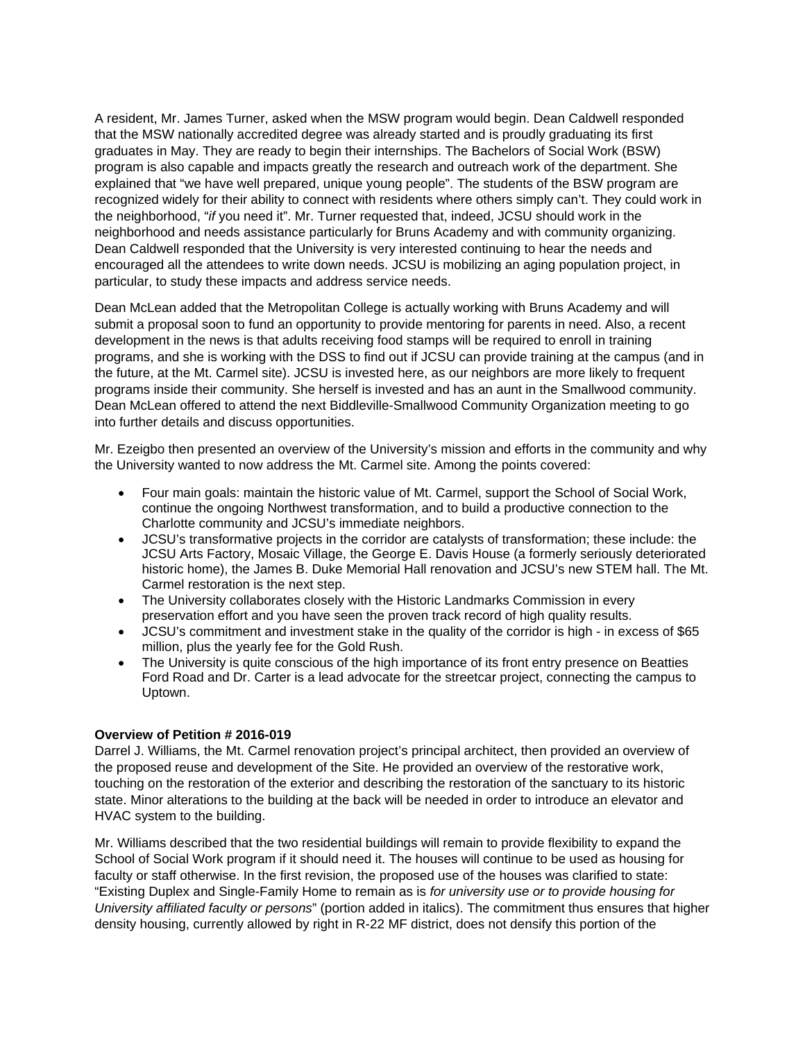A resident, Mr. James Turner, asked when the MSW program would begin. Dean Caldwell responded that the MSW nationally accredited degree was already started and is proudly graduating its first graduates in May. They are ready to begin their internships. The Bachelors of Social Work (BSW) program is also capable and impacts greatly the research and outreach work of the department. She explained that "we have well prepared, unique young people". The students of the BSW program are recognized widely for their ability to connect with residents where others simply can't. They could work in the neighborhood, "*if* you need it". Mr. Turner requested that, indeed, JCSU should work in the neighborhood and needs assistance particularly for Bruns Academy and with community organizing. Dean Caldwell responded that the University is very interested continuing to hear the needs and encouraged all the attendees to write down needs. JCSU is mobilizing an aging population project, in particular, to study these impacts and address service needs.

Dean McLean added that the Metropolitan College is actually working with Bruns Academy and will submit a proposal soon to fund an opportunity to provide mentoring for parents in need. Also, a recent development in the news is that adults receiving food stamps will be required to enroll in training programs, and she is working with the DSS to find out if JCSU can provide training at the campus (and in the future, at the Mt. Carmel site). JCSU is invested here, as our neighbors are more likely to frequent programs inside their community. She herself is invested and has an aunt in the Smallwood community. Dean McLean offered to attend the next Biddleville-Smallwood Community Organization meeting to go into further details and discuss opportunities.

Mr. Ezeigbo then presented an overview of the University's mission and efforts in the community and why the University wanted to now address the Mt. Carmel site. Among the points covered:

- Four main goals: maintain the historic value of Mt. Carmel, support the School of Social Work, continue the ongoing Northwest transformation, and to build a productive connection to the Charlotte community and JCSU's immediate neighbors.
- JCSU's transformative projects in the corridor are catalysts of transformation; these include: the JCSU Arts Factory, Mosaic Village, the George E. Davis House (a formerly seriously deteriorated historic home), the James B. Duke Memorial Hall renovation and JCSU's new STEM hall. The Mt. Carmel restoration is the next step.
- The University collaborates closely with the Historic Landmarks Commission in every preservation effort and you have seen the proven track record of high quality results.
- JCSU's commitment and investment stake in the quality of the corridor is high in excess of \$65 million, plus the yearly fee for the Gold Rush.
- The University is quite conscious of the high importance of its front entry presence on Beatties Ford Road and Dr. Carter is a lead advocate for the streetcar project, connecting the campus to Uptown.

#### **Overview of Petition # 2016-019**

Darrel J. Williams, the Mt. Carmel renovation project's principal architect, then provided an overview of the proposed reuse and development of the Site. He provided an overview of the restorative work, touching on the restoration of the exterior and describing the restoration of the sanctuary to its historic state. Minor alterations to the building at the back will be needed in order to introduce an elevator and HVAC system to the building.

Mr. Williams described that the two residential buildings will remain to provide flexibility to expand the School of Social Work program if it should need it. The houses will continue to be used as housing for faculty or staff otherwise. In the first revision, the proposed use of the houses was clarified to state: "Existing Duplex and Single-Family Home to remain as is *for university use or to provide housing for University affiliated faculty or persons*" (portion added in italics). The commitment thus ensures that higher density housing, currently allowed by right in R-22 MF district, does not densify this portion of the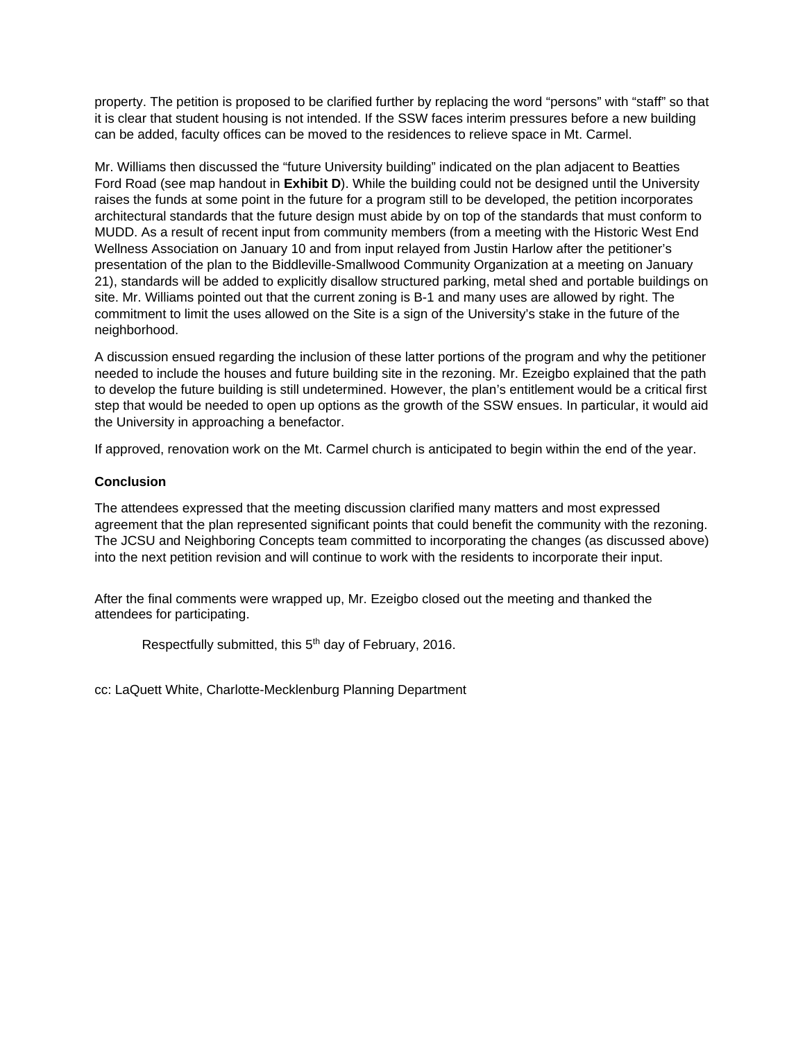property. The petition is proposed to be clarified further by replacing the word "persons" with "staff" so that it is clear that student housing is not intended. If the SSW faces interim pressures before a new building can be added, faculty offices can be moved to the residences to relieve space in Mt. Carmel.

Mr. Williams then discussed the "future University building" indicated on the plan adjacent to Beatties Ford Road (see map handout in **Exhibit D**). While the building could not be designed until the University raises the funds at some point in the future for a program still to be developed, the petition incorporates architectural standards that the future design must abide by on top of the standards that must conform to MUDD. As a result of recent input from community members (from a meeting with the Historic West End Wellness Association on January 10 and from input relayed from Justin Harlow after the petitioner's presentation of the plan to the Biddleville-Smallwood Community Organization at a meeting on January 21), standards will be added to explicitly disallow structured parking, metal shed and portable buildings on site. Mr. Williams pointed out that the current zoning is B-1 and many uses are allowed by right. The commitment to limit the uses allowed on the Site is a sign of the University's stake in the future of the neighborhood.

A discussion ensued regarding the inclusion of these latter portions of the program and why the petitioner needed to include the houses and future building site in the rezoning. Mr. Ezeigbo explained that the path to develop the future building is still undetermined. However, the plan's entitlement would be a critical first step that would be needed to open up options as the growth of the SSW ensues. In particular, it would aid the University in approaching a benefactor.

If approved, renovation work on the Mt. Carmel church is anticipated to begin within the end of the year.

#### **Conclusion**

The attendees expressed that the meeting discussion clarified many matters and most expressed agreement that the plan represented significant points that could benefit the community with the rezoning. The JCSU and Neighboring Concepts team committed to incorporating the changes (as discussed above) into the next petition revision and will continue to work with the residents to incorporate their input.

After the final comments were wrapped up, Mr. Ezeigbo closed out the meeting and thanked the attendees for participating.

Respectfully submitted, this 5<sup>th</sup> day of February, 2016.

cc: LaQuett White, Charlotte-Mecklenburg Planning Department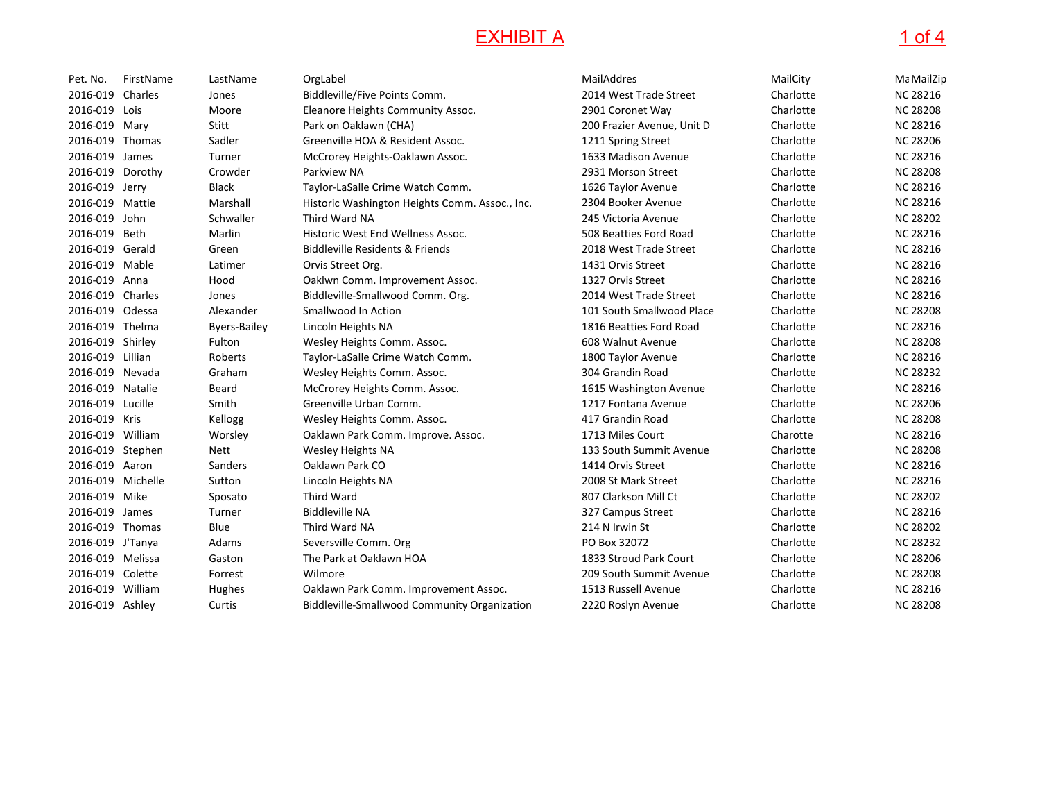## **EXHIBIT A**

# $\overline{A}$  1 of 4

| Pet. No.          | FirstName | LastName            | OrgLabel                                            | MailAddres                 | MailCity  | Ma MailZip      |
|-------------------|-----------|---------------------|-----------------------------------------------------|----------------------------|-----------|-----------------|
| 2016-019          | Charles   | Jones               | Biddleville/Five Points Comm.                       | 2014 West Trade Street     | Charlotte | <b>NC 28216</b> |
| 2016-019          | Lois      | Moore               | Eleanore Heights Community Assoc.                   | 2901 Coronet Way           | Charlotte | <b>NC 28208</b> |
| 2016-019 Mary     |           | Stitt               | Park on Oaklawn (CHA)                               | 200 Frazier Avenue, Unit D | Charlotte | <b>NC 28216</b> |
| 2016-019          | Thomas    | Sadler              | Greenville HOA & Resident Assoc.                    | 1211 Spring Street         | Charlotte | <b>NC 28206</b> |
| 2016-019          | James     | Turner              | McCrorey Heights-Oaklawn Assoc.                     | 1633 Madison Avenue        | Charlotte | <b>NC 28216</b> |
| 2016-019          | Dorothy   | Crowder             | Parkview NA                                         | 2931 Morson Street         | Charlotte | <b>NC 28208</b> |
| 2016-019 Jerry    |           | <b>Black</b>        | Taylor-LaSalle Crime Watch Comm.                    | 1626 Taylor Avenue         | Charlotte | <b>NC 28216</b> |
| 2016-019          | Mattie    | Marshall            | Historic Washington Heights Comm. Assoc., Inc.      | 2304 Booker Avenue         | Charlotte | <b>NC 28216</b> |
| 2016-019          | John      | Schwaller           | Third Ward NA                                       | 245 Victoria Avenue        | Charlotte | <b>NC 28202</b> |
| 2016-019          | Beth      | Marlin              | Historic West End Wellness Assoc.                   | 508 Beatties Ford Road     | Charlotte | <b>NC 28216</b> |
| 2016-019 Gerald   |           | Green               | <b>Biddleville Residents &amp; Friends</b>          | 2018 West Trade Street     | Charlotte | <b>NC 28216</b> |
| 2016-019 Mable    |           | Latimer             | Orvis Street Org.                                   | 1431 Orvis Street          | Charlotte | <b>NC 28216</b> |
| 2016-019 Anna     |           | Hood                | Oaklwn Comm. Improvement Assoc.                     | 1327 Orvis Street          | Charlotte | <b>NC 28216</b> |
| 2016-019          | Charles   | Jones               | Biddleville-Smallwood Comm. Org.                    | 2014 West Trade Street     | Charlotte | <b>NC 28216</b> |
| 2016-019          | Odessa    | Alexander           | Smallwood In Action                                 | 101 South Smallwood Place  | Charlotte | <b>NC 28208</b> |
| 2016-019 Thelma   |           | <b>Byers-Bailey</b> | Lincoln Heights NA                                  | 1816 Beatties Ford Road    | Charlotte | <b>NC 28216</b> |
| 2016-019 Shirley  |           | Fulton              | Wesley Heights Comm. Assoc.                         | 608 Walnut Avenue          | Charlotte | <b>NC 28208</b> |
| 2016-019 Lillian  |           | Roberts             | Taylor-LaSalle Crime Watch Comm.                    | 1800 Taylor Avenue         | Charlotte | <b>NC 28216</b> |
| 2016-019 Nevada   |           | Graham              | Wesley Heights Comm. Assoc.                         | 304 Grandin Road           | Charlotte | <b>NC 28232</b> |
| 2016-019          | Natalie   | Beard               | McCrorey Heights Comm. Assoc.                       | 1615 Washington Avenue     | Charlotte | <b>NC 28216</b> |
| 2016-019          | Lucille   | Smith               | Greenville Urban Comm.                              | 1217 Fontana Avenue        | Charlotte | <b>NC 28206</b> |
| 2016-019 Kris     |           | Kellogg             | Wesley Heights Comm. Assoc.                         | 417 Grandin Road           | Charlotte | <b>NC 28208</b> |
| 2016-019 William  |           | Worsley             | Oaklawn Park Comm. Improve. Assoc.                  | 1713 Miles Court           | Charotte  | <b>NC 28216</b> |
| 2016-019 Stephen  |           | Nett                | Wesley Heights NA                                   | 133 South Summit Avenue    | Charlotte | <b>NC 28208</b> |
| 2016-019 Aaron    |           | Sanders             | Oaklawn Park CO                                     | 1414 Orvis Street          | Charlotte | <b>NC 28216</b> |
| 2016-019 Michelle |           | Sutton              | Lincoln Heights NA                                  | 2008 St Mark Street        | Charlotte | <b>NC 28216</b> |
| 2016-019          | Mike      | Sposato             | <b>Third Ward</b>                                   | 807 Clarkson Mill Ct       | Charlotte | <b>NC 28202</b> |
| 2016-019          | James     | Turner              | <b>Biddleville NA</b>                               | 327 Campus Street          | Charlotte | <b>NC 28216</b> |
| 2016-019 Thomas   |           | Blue                | Third Ward NA                                       | 214 N Irwin St             | Charlotte | <b>NC 28202</b> |
| 2016-019 J'Tanya  |           | Adams               | Seversville Comm. Org                               | PO Box 32072               | Charlotte | <b>NC 28232</b> |
| 2016-019 Melissa  |           | Gaston              | The Park at Oaklawn HOA                             | 1833 Stroud Park Court     | Charlotte | <b>NC 28206</b> |
| 2016-019 Colette  |           | Forrest             | Wilmore                                             | 209 South Summit Avenue    | Charlotte | <b>NC 28208</b> |
| 2016-019          | William   | Hughes              | Oaklawn Park Comm. Improvement Assoc.               | 1513 Russell Avenue        | Charlotte | <b>NC 28216</b> |
| 2016-019 Ashley   |           | Curtis              | <b>Biddleville-Smallwood Community Organization</b> | 2220 Roslyn Avenue         | Charlotte | <b>NC 28208</b> |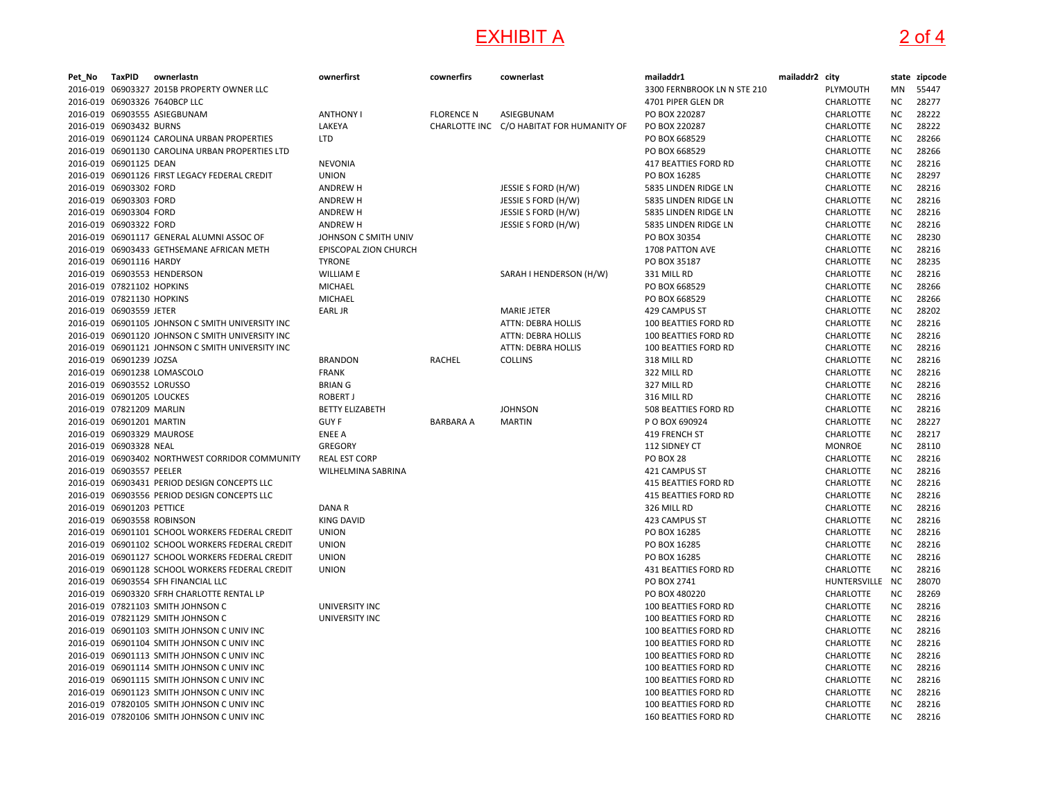## **EXHIBIT A**

# $\overline{A}$  2 of 4

| Pet_No | TaxPID                     | ownerlastn                                       | ownerfirst             | cownerfirs        | cownerlast                                | mailaddr1                   | mailaddr2 city |                  |           | state zipcode |
|--------|----------------------------|--------------------------------------------------|------------------------|-------------------|-------------------------------------------|-----------------------------|----------------|------------------|-----------|---------------|
|        |                            | 2016-019 06903327 2015B PROPERTY OWNER LLC       |                        |                   |                                           | 3300 FERNBROOK LN N STE 210 |                | PLYMOUTH         | MN        | 55447         |
|        |                            | 2016-019 06903326 7640BCP LLC                    |                        |                   |                                           | 4701 PIPER GLEN DR          |                | <b>CHARLOTTE</b> | <b>NC</b> | 28277         |
|        |                            | 2016-019 06903555 ASIEGBUNAM                     | <b>ANTHONY I</b>       | <b>FLORENCE N</b> | ASIEGBUNAM                                | PO BOX 220287               |                | <b>CHARLOTTE</b> | <b>NC</b> | 28222         |
|        | 2016-019 06903432 BURNS    |                                                  | LAKEYA                 |                   | CHARLOTTE INC C/O HABITAT FOR HUMANITY OF | PO BOX 220287               |                | CHARLOTTE        | <b>NC</b> | 28222         |
|        |                            | 2016-019 06901124 CAROLINA URBAN PROPERTIES      | <b>LTD</b>             |                   |                                           | PO BOX 668529               |                | CHARLOTTE        | <b>NC</b> | 28266         |
|        |                            | 2016-019 06901130 CAROLINA URBAN PROPERTIES LTD  |                        |                   |                                           | PO BOX 668529               |                | CHARLOTTE        | ΝC        | 28266         |
|        | 2016-019 06901125 DEAN     |                                                  | <b>NEVONIA</b>         |                   |                                           | 417 BEATTIES FORD RD        |                | CHARLOTTE        | NC        | 28216         |
|        |                            | 2016-019 06901126 FIRST LEGACY FEDERAL CREDIT    | <b>UNION</b>           |                   |                                           | PO BOX 16285                |                | CHARLOTTE        | NC        | 28297         |
|        | 2016-019 06903302 FORD     |                                                  | <b>ANDREW H</b>        |                   | JESSIE S FORD (H/W)                       | 5835 LINDEN RIDGE LN        |                | CHARLOTTE        | <b>NC</b> | 28216         |
|        | 2016-019 06903303 FORD     |                                                  | <b>ANDREW H</b>        |                   | JESSIE S FORD (H/W)                       | 5835 LINDEN RIDGE LN        |                | CHARLOTTE        | NC        | 28216         |
|        | 2016-019 06903304 FORD     |                                                  | <b>ANDREW H</b>        |                   | JESSIE S FORD (H/W)                       | 5835 LINDEN RIDGE LN        |                | CHARLOTTE        | ΝC        | 28216         |
|        | 2016-019 06903322 FORD     |                                                  | <b>ANDREW H</b>        |                   | JESSIE S FORD (H/W)                       | 5835 LINDEN RIDGE LN        |                | CHARLOTTE        | ΝC        | 28216         |
|        |                            | 2016-019 06901117 GENERAL ALUMNI ASSOC OF        | JOHNSON C SMITH UNIV   |                   |                                           | PO BOX 30354                |                | CHARLOTTE        | <b>NC</b> | 28230         |
|        |                            | 2016-019 06903433 GETHSEMANE AFRICAN METH        | EPISCOPAL ZION CHURCH  |                   |                                           | 1708 PATTON AVE             |                | CHARLOTTE        | ΝC        | 28216         |
|        | 2016-019 06901116 HARDY    |                                                  | <b>TYRONE</b>          |                   |                                           | PO BOX 35187                |                | CHARLOTTE        | NC        | 28235         |
|        |                            |                                                  |                        |                   |                                           |                             |                |                  |           | 28216         |
|        |                            | 2016-019 06903553 HENDERSON                      | <b>WILLIAM E</b>       |                   | SARAH I HENDERSON (H/W)                   | 331 MILL RD                 |                | CHARLOTTE        | NC        |               |
|        | 2016-019 07821102 HOPKINS  |                                                  | MICHAEL                |                   |                                           | PO BOX 668529               |                | <b>CHARLOTTE</b> | NC.       | 28266         |
|        | 2016-019 07821130 HOPKINS  |                                                  | MICHAEL                |                   |                                           | PO BOX 668529               |                | CHARLOTTE        | NC        | 28266         |
|        | 2016-019 06903559 JETER    |                                                  | <b>EARL JR</b>         |                   | <b>MARIE JETER</b>                        | 429 CAMPUS ST               |                | CHARLOTTE        | <b>NC</b> | 28202         |
|        |                            | 2016-019 06901105 JOHNSON C SMITH UNIVERSITY INC |                        |                   | ATTN: DEBRA HOLLIS                        | 100 BEATTIES FORD RD        |                | CHARLOTTE        | NC        | 28216         |
|        |                            | 2016-019 06901120 JOHNSON C SMITH UNIVERSITY INC |                        |                   | ATTN: DEBRA HOLLIS                        | 100 BEATTIES FORD RD        |                | CHARLOTTE        | NC        | 28216         |
|        |                            | 2016-019 06901121 JOHNSON C SMITH UNIVERSITY INC |                        |                   | <b>ATTN: DEBRA HOLLIS</b>                 | 100 BEATTIES FORD RD        |                | CHARLOTTE        | NC        | 28216         |
|        | 2016-019 06901239 JOZSA    |                                                  | <b>BRANDON</b>         | RACHEL            | <b>COLLINS</b>                            | 318 MILL RD                 |                | <b>CHARLOTTE</b> | ΝC        | 28216         |
|        |                            | 2016-019 06901238 LOMASCOLO                      | <b>FRANK</b>           |                   |                                           | 322 MILL RD                 |                | CHARLOTTE        | NC        | 28216         |
|        | 2016-019 06903552 LORUSSO  |                                                  | <b>BRIAN G</b>         |                   |                                           | 327 MILL RD                 |                | CHARLOTTE        | <b>NC</b> | 28216         |
|        | 2016-019 06901205 LOUCKES  |                                                  | <b>ROBERT J</b>        |                   |                                           | 316 MILL RD                 |                | CHARLOTTE        | <b>NC</b> | 28216         |
|        | 2016-019 07821209 MARLIN   |                                                  | <b>BETTY ELIZABETH</b> |                   | <b>JOHNSON</b>                            | 508 BEATTIES FORD RD        |                | CHARLOTTE        | NC        | 28216         |
|        | 2016-019 06901201 MARTIN   |                                                  | <b>GUY F</b>           | <b>BARBARA A</b>  | <b>MARTIN</b>                             | P O BOX 690924              |                | <b>CHARLOTTE</b> | NC.       | 28227         |
|        | 2016-019 06903329 MAUROSE  |                                                  | <b>ENEE A</b>          |                   |                                           | 419 FRENCH ST               |                | <b>CHARLOTTE</b> | ΝC        | 28217         |
|        | 2016-019 06903328 NEAL     |                                                  | GREGORY                |                   |                                           | 112 SIDNEY CT               |                | <b>MONROE</b>    | <b>NC</b> | 28110         |
|        |                            | 2016-019 06903402 NORTHWEST CORRIDOR COMMUNITY   | <b>REAL EST CORP</b>   |                   |                                           | PO BOX 28                   |                | <b>CHARLOTTE</b> | ΝC        | 28216         |
|        | 2016-019 06903557 PEELER   |                                                  | WILHELMINA SABRINA     |                   |                                           | 421 CAMPUS ST               |                | CHARLOTTE        | <b>NC</b> | 28216         |
|        |                            | 2016-019 06903431 PERIOD DESIGN CONCEPTS LLC     |                        |                   |                                           | <b>415 BEATTIES FORD RD</b> |                | CHARLOTTE        | NC        | 28216         |
|        |                            | 2016-019 06903556 PERIOD DESIGN CONCEPTS LLC     |                        |                   |                                           | <b>415 BEATTIES FORD RD</b> |                | CHARLOTTE        | ΝC        | 28216         |
|        | 2016-019 06901203 PETTICE  |                                                  | DANA R                 |                   |                                           | 326 MILL RD                 |                | CHARLOTTE        | <b>NC</b> | 28216         |
|        | 2016-019 06903558 ROBINSON |                                                  | <b>KING DAVID</b>      |                   |                                           | 423 CAMPUS ST               |                | CHARLOTTE        | NC        | 28216         |
|        |                            | 2016-019 06901101 SCHOOL WORKERS FEDERAL CREDIT  | <b>UNION</b>           |                   |                                           | PO BOX 16285                |                | <b>CHARLOTTE</b> | ΝC        | 28216         |
|        |                            | 2016-019 06901102 SCHOOL WORKERS FEDERAL CREDIT  | <b>UNION</b>           |                   |                                           | PO BOX 16285                |                | CHARLOTTE        | NC        | 28216         |
|        |                            | 2016-019 06901127 SCHOOL WORKERS FEDERAL CREDIT  | <b>UNION</b>           |                   |                                           | PO BOX 16285                |                | CHARLOTTE        | <b>NC</b> | 28216         |
|        |                            | 2016-019 06901128 SCHOOL WORKERS FEDERAL CREDIT  | <b>UNION</b>           |                   |                                           | 431 BEATTIES FORD RD        |                | CHARLOTTE        | NC.       | 28216         |
|        |                            | 2016-019 06903554 SFH FINANCIAL LLC              |                        |                   |                                           | PO BOX 2741                 |                | HUNTERSVILLE     | <b>NC</b> | 28070         |
|        |                            | 2016-019 06903320 SFRH CHARLOTTE RENTAL LP       |                        |                   |                                           | PO BOX 480220               |                | CHARLOTTE        | ΝC        | 28269         |
|        |                            | 2016-019 07821103 SMITH JOHNSON C                | UNIVERSITY INC         |                   |                                           | 100 BEATTIES FORD RD        |                | CHARLOTTE        | <b>NC</b> | 28216         |
|        |                            | 2016-019 07821129 SMITH JOHNSON C                | UNIVERSITY INC         |                   |                                           | 100 BEATTIES FORD RD        |                | CHARLOTTE        | NC        | 28216         |
|        |                            | 2016-019 06901103 SMITH JOHNSON C UNIV INC       |                        |                   |                                           | 100 BEATTIES FORD RD        |                | CHARLOTTE        | ΝC        | 28216         |
|        |                            | 2016-019 06901104 SMITH JOHNSON C UNIV INC       |                        |                   |                                           | 100 BEATTIES FORD RD        |                | CHARLOTTE        | ΝC        | 28216         |
|        |                            | 2016-019 06901113 SMITH JOHNSON C UNIV INC       |                        |                   |                                           | 100 BEATTIES FORD RD        |                | CHARLOTTE        | NC        | 28216         |
|        |                            | 2016-019 06901114 SMITH JOHNSON C UNIV INC       |                        |                   |                                           | 100 BEATTIES FORD RD        |                | CHARLOTTE        | ΝC        | 28216         |
|        |                            | 2016-019 06901115 SMITH JOHNSON C UNIV INC       |                        |                   |                                           |                             |                |                  | <b>NC</b> | 28216         |
|        |                            |                                                  |                        |                   |                                           | 100 BEATTIES FORD RD        |                | <b>CHARLOTTE</b> |           |               |
|        |                            | 2016-019 06901123 SMITH JOHNSON C UNIV INC       |                        |                   |                                           | 100 BEATTIES FORD RD        |                | CHARLOTTE        | NC        | 28216         |
|        |                            | 2016-019 07820105 SMITH JOHNSON C UNIV INC       |                        |                   |                                           | 100 BEATTIES FORD RD        |                | CHARLOTTE        | NC.       | 28216         |
|        |                            | 2016-019 07820106 SMITH JOHNSON C UNIV INC       |                        |                   |                                           | <b>160 BEATTIES FORD RD</b> |                | <b>CHARLOTTE</b> | <b>NC</b> | 28216         |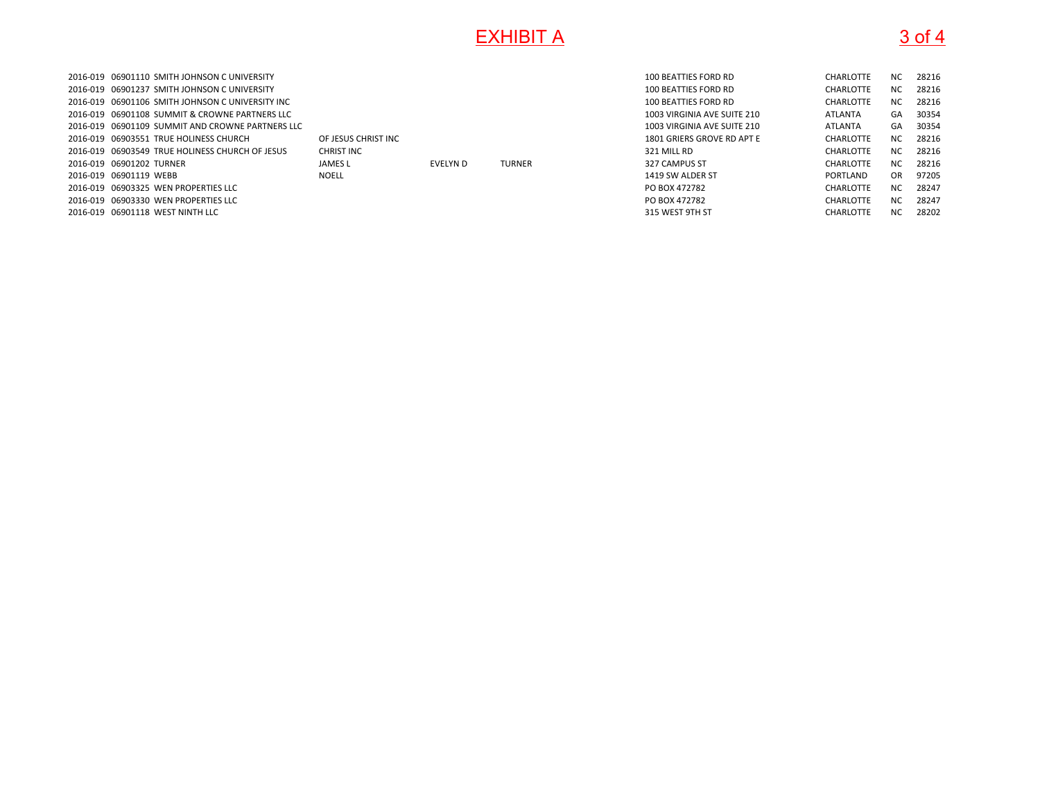## **EXHIBIT A**

# $\overline{A}$  3 of 4

| 2016-019 06901110 SMITH JOHNSON C UNIVERSITY     |                     |                 |               | 100 BEATTIES FORD RD        | <b>CHARLOTTE</b> | <b>NC</b> | 28216 |
|--------------------------------------------------|---------------------|-----------------|---------------|-----------------------------|------------------|-----------|-------|
| 2016-019 06901237 SMITH JOHNSON C UNIVERSITY     |                     |                 |               | 100 BEATTIES FORD RD        | <b>CHARLOTTE</b> | <b>NC</b> | 28216 |
| 2016-019 06901106 SMITH JOHNSON C UNIVERSITY INC |                     |                 |               | 100 BEATTIES FORD RD        | <b>CHARLOTTE</b> | NC.       | 28216 |
| 2016-019 06901108 SUMMIT & CROWNE PARTNERS LLC   |                     |                 |               | 1003 VIRGINIA AVE SUITE 210 | ATLANTA          | GA        | 30354 |
| 2016-019 06901109 SUMMIT AND CROWNE PARTNERS LLC |                     |                 |               | 1003 VIRGINIA AVE SUITE 210 | ATLANTA          | GA        | 30354 |
| 2016-019 06903551 TRUE HOLINESS CHURCH           | OF JESUS CHRIST INC |                 |               | 1801 GRIERS GROVE RD APT E  | <b>CHARLOTTE</b> | <b>NC</b> | 28216 |
| 2016-019 06903549 TRUE HOLINESS CHURCH OF JESUS  | <b>CHRIST INC</b>   |                 |               | 321 MILL RD                 | <b>CHARLOTTE</b> | <b>NC</b> | 28216 |
| 2016-019 06901202 TURNER                         | JAMES L             | <b>EVELYN D</b> | <b>TURNER</b> | 327 CAMPUS ST               | <b>CHARLOTTE</b> | <b>NC</b> | 28216 |
| 2016-019 06901119 WEBB                           | <b>NOELL</b>        |                 |               | 1419 SW ALDER ST            | PORTLAND         | OR.       | 97205 |
| 2016-019 06903325 WEN PROPERTIES LLC             |                     |                 |               | PO BOX 472782               | <b>CHARLOTTE</b> | NC.       | 28247 |
| 2016-019 06903330 WEN PROPERTIES LLC             |                     |                 |               | PO BOX 472782               | <b>CHARLOTTE</b> | <b>NC</b> | 28247 |
| 2016-019 06901118 WEST NINTH LLC                 |                     |                 |               | 315 WEST 9TH ST             | <b>CHARLOTTE</b> | <b>NC</b> | 28202 |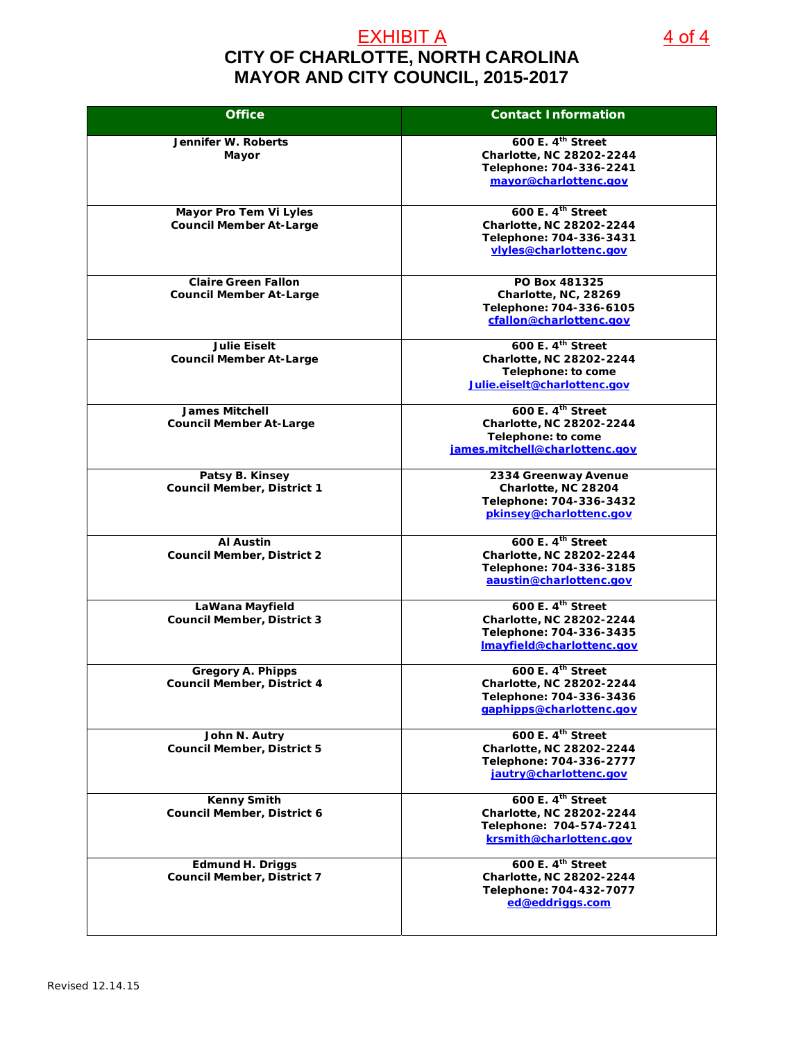## **CITY OF CHARLOTTE, NORTH CAROLINA MAYOR AND CITY COUNCIL, 2015-2017** EXHIBIT A 4 of 4

**Office Contact Information Jennifer W. Roberts Mayor 600 E. 4th Street Charlotte, NC 28202-2244 Telephone: 704-336-2241 mayor@charlottenc.gov Mayor Pro Tem Vi Lyles Council Member At-Large 600 E. 4th Street Charlotte, NC 28202-2244 Telephone: 704-336-3431 vlyles@charlottenc.gov Claire Green Fallon Council Member At-Large PO Box 481325 Charlotte, NC, 28269 Telephone: 704-336-6105 cfallon@charlottenc.gov Julie Eiselt Council Member At-Large 600 E. 4th Street Charlotte, NC 28202-2244 Telephone: to come Julie.eiselt@charlottenc.gov James Mitchell Council Member At-Large 600 E. 4th Street Charlotte, NC 28202-2244 Telephone: to come james.mitchell@charlottenc.gov Patsy B. Kinsey Council Member, District 1 2334 Greenway Avenue Charlotte, NC 28204 Telephone: 704-336-3432 pkinsey@charlottenc.gov Al Austin Council Member, District 2 600 E. 4th Street Charlotte, NC 28202-2244 Telephone: 704-336-3185 aaustin@charlottenc.gov LaWana Mayfield Council Member, District 3 600 E. 4th Street Charlotte, NC 28202-2244 Telephone: 704-336-3435 lmayfield@charlottenc.gov Gregory A. Phipps Council Member, District 4 600 E. 4th Street Charlotte, NC 28202-2244 Telephone: 704-336-3436 gaphipps@charlottenc.gov John N. Autry Council Member, District 5 600 E. 4th Street Charlotte, NC 28202-2244 Telephone: 704-336-2777 jautry@charlottenc.gov Kenny Smith Council Member, District 6 600 E. 4th Street Charlotte, NC 28202-2244 Telephone: 704-574-7241 krsmith@charlottenc.gov Edmund H. Driggs Council Member, District 7 600 E. 4th Street Charlotte, NC 28202-2244 Telephone: 704-432-7077 ed@eddriggs.com**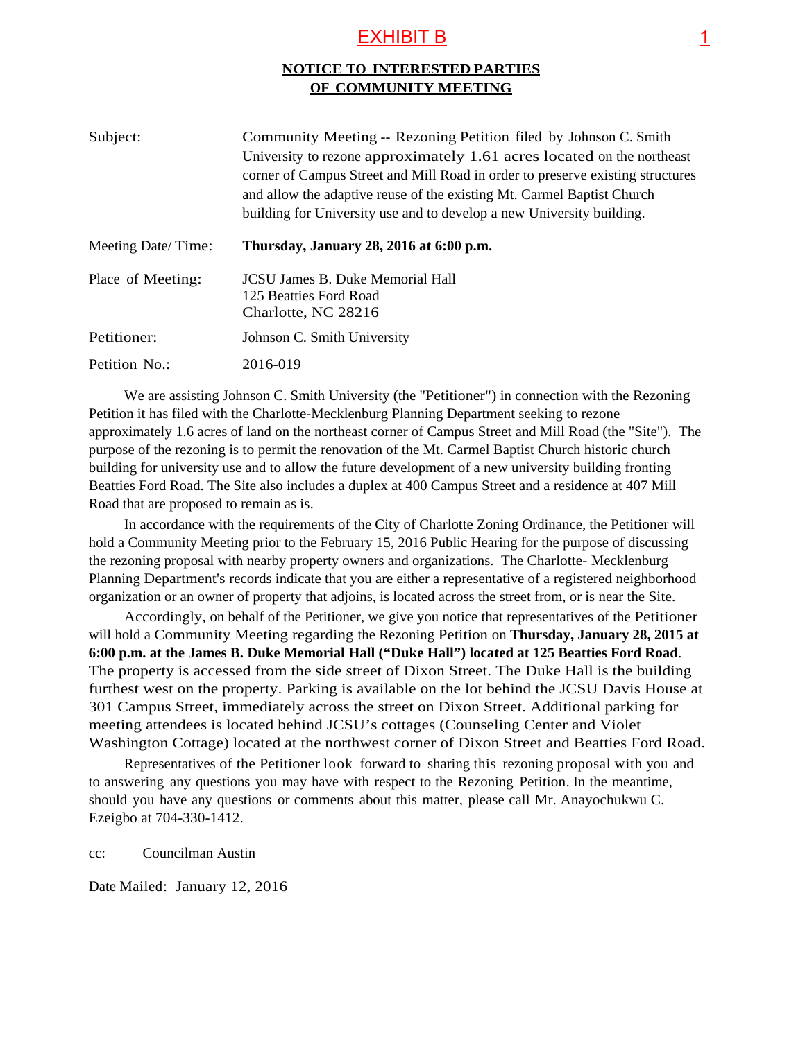### EXHIBIT B 1

### **NOTICE TO INTERESTED PARTIES OF COMMUNITY MEETING**

| Subject:           | Community Meeting -- Rezoning Petition filed by Johnson C. Smith<br>University to rezone approximately 1.61 acres located on the northeast<br>corner of Campus Street and Mill Road in order to preserve existing structures<br>and allow the adaptive reuse of the existing Mt. Carmel Baptist Church<br>building for University use and to develop a new University building. |
|--------------------|---------------------------------------------------------------------------------------------------------------------------------------------------------------------------------------------------------------------------------------------------------------------------------------------------------------------------------------------------------------------------------|
| Meeting Date/Time: | Thursday, January 28, 2016 at 6:00 p.m.                                                                                                                                                                                                                                                                                                                                         |
| Place of Meeting:  | <b>JCSU James B. Duke Memorial Hall</b><br>125 Beatties Ford Road<br>Charlotte, NC 28216                                                                                                                                                                                                                                                                                        |
| Petitioner:        | Johnson C. Smith University                                                                                                                                                                                                                                                                                                                                                     |
| Petition No.:      | 2016-019                                                                                                                                                                                                                                                                                                                                                                        |

We are assisting Johnson C. Smith University (the "Petitioner") in connection with the Rezoning Petition it has filed with the Charlotte-Mecklenburg Planning Department seeking to rezone approximately 1.6 acres of land on the northeast corner of Campus Street and Mill Road (the "Site"). The purpose of the rezoning is to permit the renovation of the Mt. Carmel Baptist Church historic church building for university use and to allow the future development of a new university building fronting Beatties Ford Road. The Site also includes a duplex at 400 Campus Street and a residence at 407 Mill Road that are proposed to remain as is.

In accordance with the requirements of the City of Charlotte Zoning Ordinance, the Petitioner will hold a Community Meeting prior to the February 15, 2016 Public Hearing for the purpose of discussing the rezoning proposal with nearby property owners and organizations. The Charlotte- Mecklenburg Planning Department's records indicate that you are either a representative of a registered neighborhood organization or an owner of property that adjoins, is located across the street from, or is near the Site.

Accordingly, on behalf of the Petitioner, we give you notice that representatives of the Petitioner will hold a Community Meeting regarding the Rezoning Petition on **Thursday, January 28, 2015 at 6:00 p.m. at the James B. Duke Memorial Hall ("Duke Hall") located at 125 Beatties Ford Road**. The property is accessed from the side street of Dixon Street. The Duke Hall is the building furthest west on the property. Parking is available on the lot behind the JCSU Davis House at 301 Campus Street, immediately across the street on Dixon Street. Additional parking for meeting attendees is located behind JCSU's cottages (Counseling Center and Violet Washington Cottage) located at the northwest corner of Dixon Street and Beatties Ford Road.

Representatives of the Petitioner look forward to sharing this rezoning proposal with you and to answering any questions you may have with respect to the Rezoning Petition. In the meantime, should you have any questions or comments about this matter, please call Mr. Anayochukwu C. Ezeigbo at 704-330-1412.

cc: Councilman Austin

Date Mailed: January 12, 2016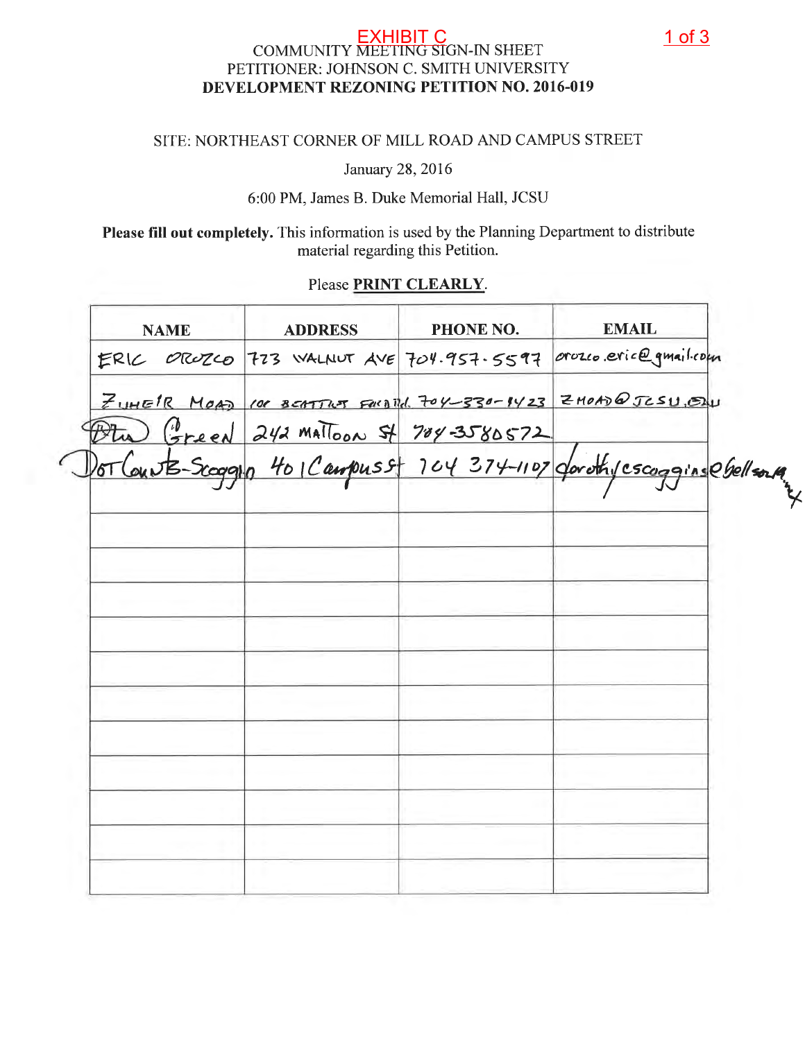## EXHIBIT C 1 of 3PETITIONER: JOHNSON C. SMITH UNIVERSITY DEVELOPMENT REZONING PETITION NO. 2016-019

## SITE: NORTHEAST CORNER OF MILL ROAD AND CAMPUS STREET

January 28, 2016

6:00 PM, James B. Duke Memorial Hall, JCSU

Please fill out completely. This information is used by the Planning Department to distribute material regarding this Petition.

### Please PRINT CLEARLY.

| <b>NAME</b> | <b>ADDRESS</b> | PHONE NO. | <b>EMAIL</b>                                                                                                     |
|-------------|----------------|-----------|------------------------------------------------------------------------------------------------------------------|
|             |                |           | ERIC OROZCO 773 WALNUT AVE 704.957.5597 Orozco.eric@gmail.com                                                    |
|             |                |           | ZUHEIR MOAD 100 BEATTLET FORD TO 1-330-1423 ZHOAD @ JESU. EN                                                     |
|             |                |           | Otu Green 242 mailoon 5/ 704-3580572<br>DorCourts-Scoggyp 401 Campuss 104 374-1107 dorothy cscogging essell sont |
|             |                |           |                                                                                                                  |
|             |                |           |                                                                                                                  |
|             |                |           |                                                                                                                  |
|             |                |           |                                                                                                                  |
|             |                |           |                                                                                                                  |
|             |                |           |                                                                                                                  |
|             |                |           |                                                                                                                  |
|             |                |           |                                                                                                                  |
|             |                |           |                                                                                                                  |
|             |                |           |                                                                                                                  |
|             |                |           |                                                                                                                  |
|             |                |           |                                                                                                                  |
|             |                |           |                                                                                                                  |
|             |                |           |                                                                                                                  |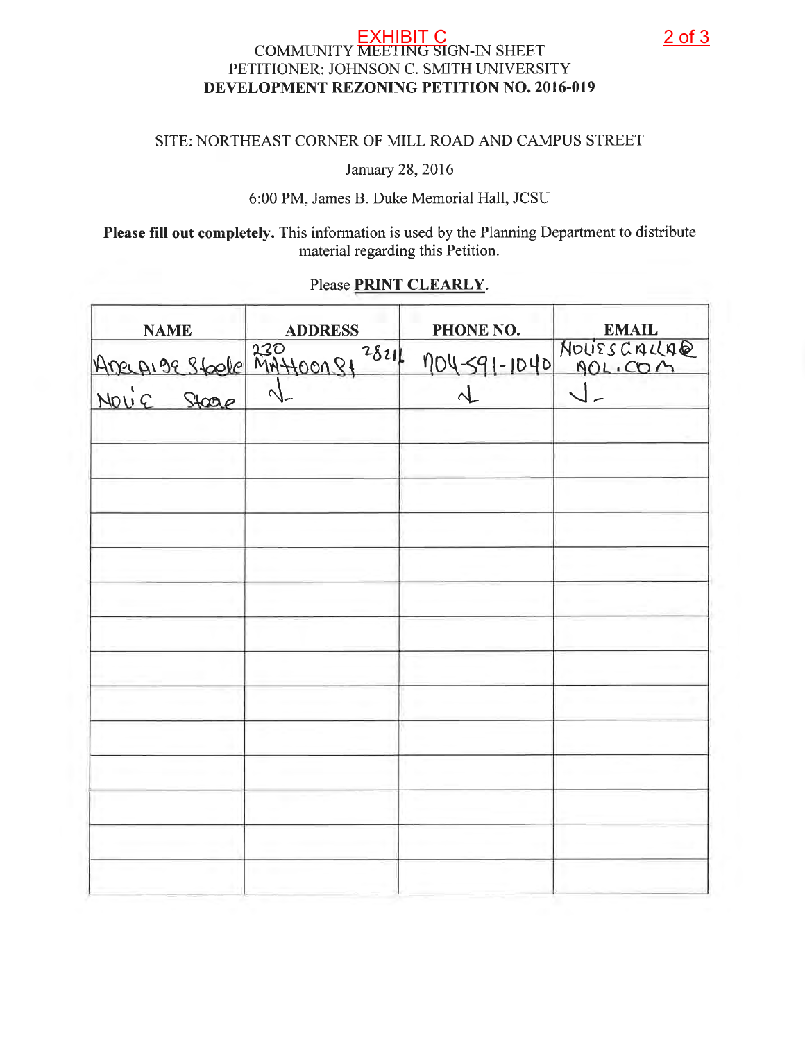## EXHIBIT C<br>COMMUNITY MEETING SIGN-IN SHEET PETITIONER: JOHNSON C. SMITH UNIVERSITY DEVELOPMENT REZONING PETITION NO. 2016-019

### SITE: NORTHEAST CORNER OF MILL ROAD AND CAMPUS STREET

January 28, 2016

### 6:00 PM, James B. Duke Memorial Hall, JCSU

Please fill out completely. This information is used by the Planning Department to distribute material regarding this Petition.

### Please PRINT CLEARLY.

| <b>NAME</b>                                   | <b>ADDRESS</b> | PHONE NO.    | <b>EMAIL</b>         |
|-----------------------------------------------|----------------|--------------|----------------------|
|                                               | 2821           | 104-591-1040 | NOLIES CALLAQ        |
| Anecesse 230<br>Anecesse 230<br>Novie Stoap 1 |                | $\lambda$    | $\sqrt{\phantom{a}}$ |
|                                               |                |              |                      |
|                                               |                |              |                      |
|                                               |                |              |                      |
|                                               |                |              |                      |
|                                               |                |              |                      |
|                                               |                |              |                      |
|                                               |                |              |                      |
|                                               |                |              |                      |
|                                               |                |              |                      |
|                                               |                |              |                      |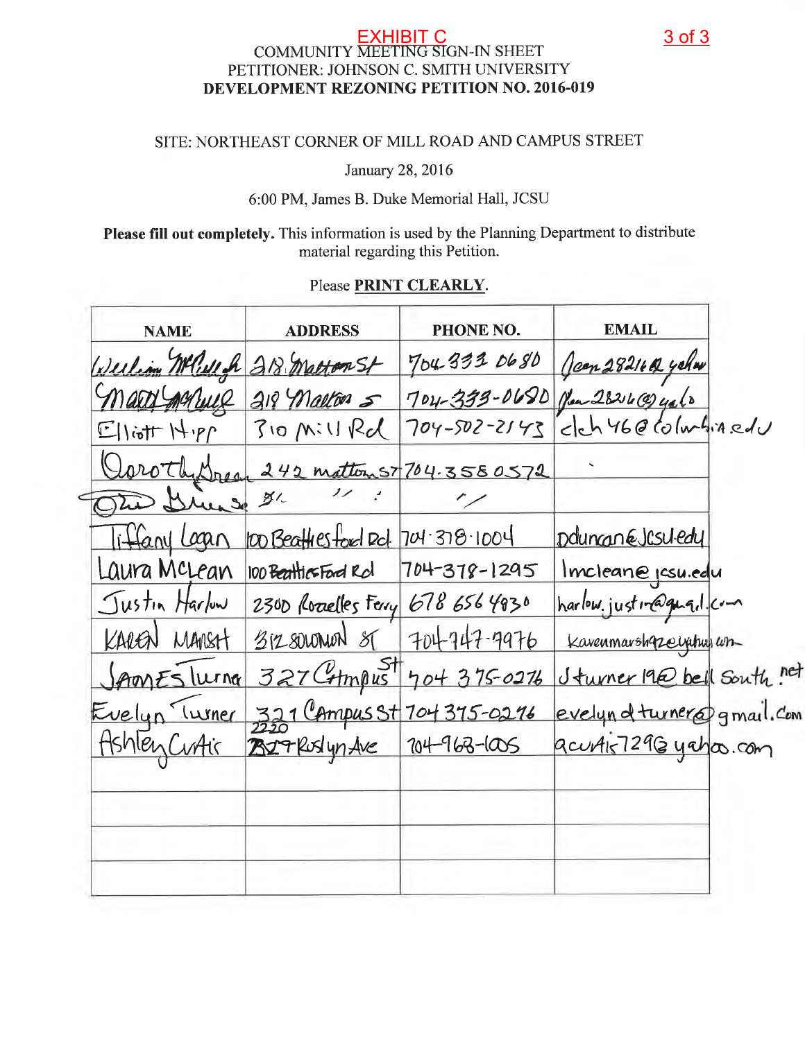## EXHIBIT C<br>COMMUNITY MEETING SIGN-IN SHEET PETITIONER: JOHNSON C. SMITH UNIVERSITY DEVELOPMENT REZONING PETITION NO. 2016-019

### SITE: NORTHEAST CORNER OF MILL ROAD AND CAMPUS STREET

January 28, 2016

6:00 PM, James B. Duke Memorial Hall, JCSU

Please fill out completely. This information is used by the Planning Department to distribute material regarding this Petition.

### Please PRINT CLEARLY.

| <b>NAME</b>                             | <b>ADDRESS</b>                                 | PHONE NO.   | <b>EMAIL</b>                                                                                          |  |
|-----------------------------------------|------------------------------------------------|-------------|-------------------------------------------------------------------------------------------------------|--|
|                                         | Werliom MCWeft 218 Matton St                   |             |                                                                                                       |  |
| arry garrier                            | 218 Malton 5                                   |             | 704-333 0680 Jeen 28216 42 yeler<br>704-399-0680 Jen 28216 9410<br>704-502-2143 clch 46 @ columbinedu |  |
| $\mathbb{E}$ liott $H \cdot \mathbb{P}$ | $30$ Mill Rd                                   |             |                                                                                                       |  |
|                                         | Oaroth Dreap 242 mattoms 7704.3580572          |             |                                                                                                       |  |
| The Diverse 31.                         |                                                |             |                                                                                                       |  |
|                                         | Tiffany Lagan 100 Beathesford Rd. 704.378.1004 |             | Dduncan Elsuledy                                                                                      |  |
|                                         | Laura McLean 100 Beattics Ford Rd 704-378-1295 |             | Imcleane pcsu.edu                                                                                     |  |
|                                         | Justin Harlow 2300 Rozelles Ferry 678 656 4830 |             | harlow.justin@guq.l.com                                                                               |  |
| KAREN MANSH                             | $312800$ NON $81$                              | 704747-9976 | Kavenmarshqzerychus con                                                                               |  |
|                                         | Sprones Turna 327 Compus 704 375-0276          |             | Sturner 19@ bell South net                                                                            |  |
| Evelyn Turner                           | 321 Campus St 704 375-0276                     |             | evelyn of turner@gmail. Com                                                                           |  |
| Ashley CuAir                            | 327 Ruslyn Ave 204-963-1005                    |             | acurais7296 yaha.com                                                                                  |  |
|                                         |                                                |             |                                                                                                       |  |
|                                         |                                                |             |                                                                                                       |  |
|                                         |                                                |             |                                                                                                       |  |
|                                         |                                                |             |                                                                                                       |  |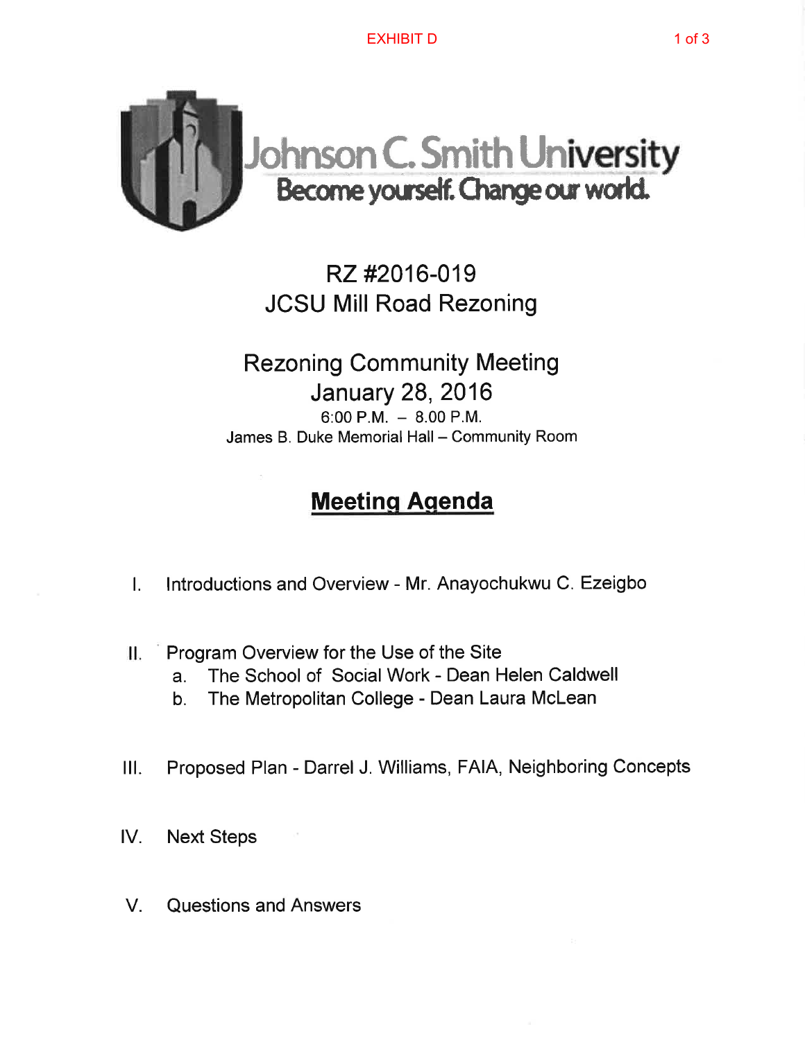

## RZ#2016-019 **JCSU Mill Road Rezoning**

**Rezoning Community Meeting January 28, 2016** 6:00 P.M.  $-8.00$  P.M. James B. Duke Memorial Hall - Community Room

# **Meeting Agenda**

- Introductions and Overview Mr. Anayochukwu C. Ezeigbo  $\mathbf{L}$
- Program Overview for the Use of the Site П.
	- The School of Social Work Dean Helen Caldwell  $a<sub>z</sub>$
	- The Metropolitan College Dean Laura McLean  $b_{\cdot}$
- Proposed Plan Darrel J. Williams, FAIA, Neighboring Concepts  $III.$
- **Next Steps** IV.
- Questions and Answers  $V_{\perp}$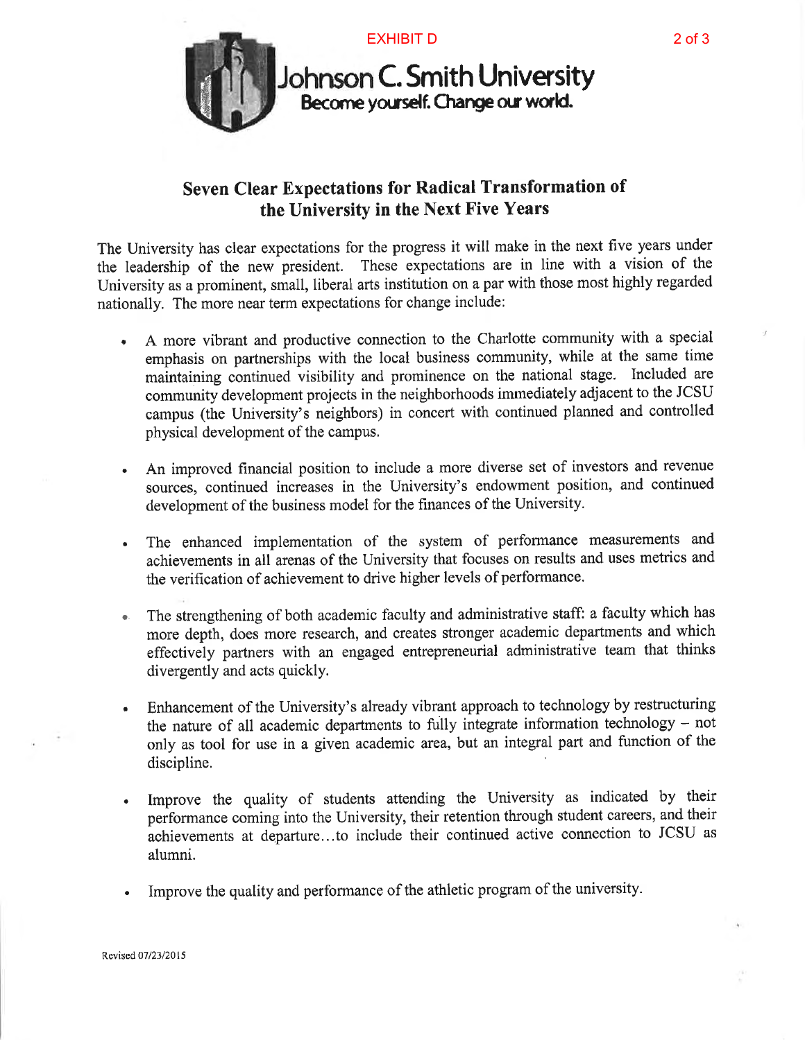



**Johnson C. Smith University**<br>Become yourself. Change our world.

## Seven Clear Expectations for Radical Transformation of the University in the Next Five Years

The University has clear expectations for the progress it will make in the next five years under the leadership of the new president. These expectations are in line with a vision of the University as a prominent, small, liberal arts institution on a par with those most highly regarded nationally. The more near term expectations for change include:

- A more vibrant and productive connection to the Charlotte community with a special emphasis on partnerships with the local business community, while at the same time maintaining continued visibility and prominence on the national stage. Included are community development projects in the neighborhoods immediately adjacent to the JCSU campus (the University's neighbors) in concert with continued planned and controlled physical development of the campus.
- An improved financial position to include a more diverse set of investors and revenue sources, continued increases in the University's endowment position, and continued development of the business model for the finances of the University.
- The enhanced implementation of the system of performance measurements and achievements in all arenas of the University that focuses on results and uses metrics and the verification of achievement to drive higher levels of performance.
- The strengthening of both academic faculty and administrative staff: a faculty which has  $\mathbf{q}_\mathrm{in}$  . more depth, does more research, and creates stronger academic departments and which effectively partners with an engaged entrepreneurial administrative team that thinks divergently and acts quickly.
- Enhancement of the University's already vibrant approach to technology by restructuring  $\bullet$ the nature of all academic departments to fully integrate information technology - not only as tool for use in a given academic area, but an integral part and function of the discipline.
- Improve the quality of students attending the University as indicated by their  $\bullet$ performance coming into the University, their retention through student careers, and their achievements at departure...to include their continued active connection to JCSU as alumni.
- Improve the quality and performance of the athletic program of the university.